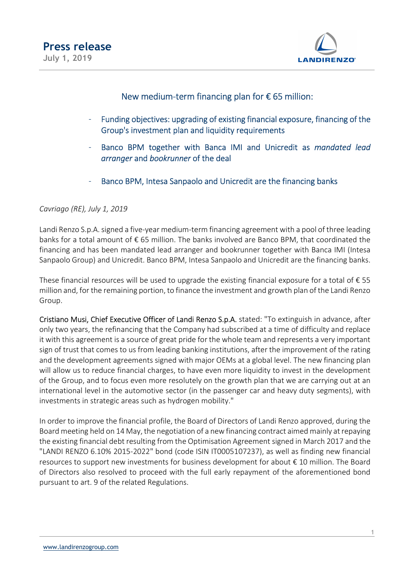

## New medium-term financing plan for  $\epsilon$  65 million:

- Funding objectives: upgrading of existing financial exposure, financing of the Group's investment plan and liquidity requirements
- Banco BPM together with Banca IMI and Unicredit as mandated lead arranger and bookrunner of the deal
- Banco BPM, Intesa Sanpaolo and Unicredit are the financing banks

Cavriago (RE), July 1, 2019

Landi Renzo S.p.A. signed a five-year medium-term financing agreement with a pool of three leading banks for a total amount of € 65 million. The banks involved are Banco BPM, that coordinated the financing and has been mandated lead arranger and bookrunner together with Banca IMI (Intesa Sanpaolo Group) and Unicredit. Banco BPM, Intesa Sanpaolo and Unicredit are the financing banks.

These financial resources will be used to upgrade the existing financial exposure for a total of  $\epsilon$  55 million and, for the remaining portion, to finance the investment and growth plan of the Landi Renzo Group.

Cristiano Musi, Chief Executive Officer of Landi Renzo S.p.A. stated: "To extinguish in advance, after only two years, the refinancing that the Company had subscribed at a time of difficulty and replace it with this agreement is a source of great pride for the whole team and represents a very important sign of trust that comes to us from leading banking institutions, after the improvement of the rating and the development agreements signed with major OEMs at a global level. The new financing plan will allow us to reduce financial charges, to have even more liquidity to invest in the development of the Group, and to focus even more resolutely on the growth plan that we are carrying out at an international level in the automotive sector (in the passenger car and heavy duty segments), with investments in strategic areas such as hydrogen mobility."

In order to improve the financial profile, the Board of Directors of Landi Renzo approved, during the Board meeting held on 14 May, the negotiation of a new financing contract aimed mainly at repaying the existing financial debt resulting from the Optimisation Agreement signed in March 2017 and the "LANDI RENZO 6.10% 2015-2022" bond (code ISIN IT0005107237), as well as finding new financial resources to support new investments for business development for about € 10 million. The Board of Directors also resolved to proceed with the full early repayment of the aforementioned bond pursuant to art. 9 of the related Regulations.